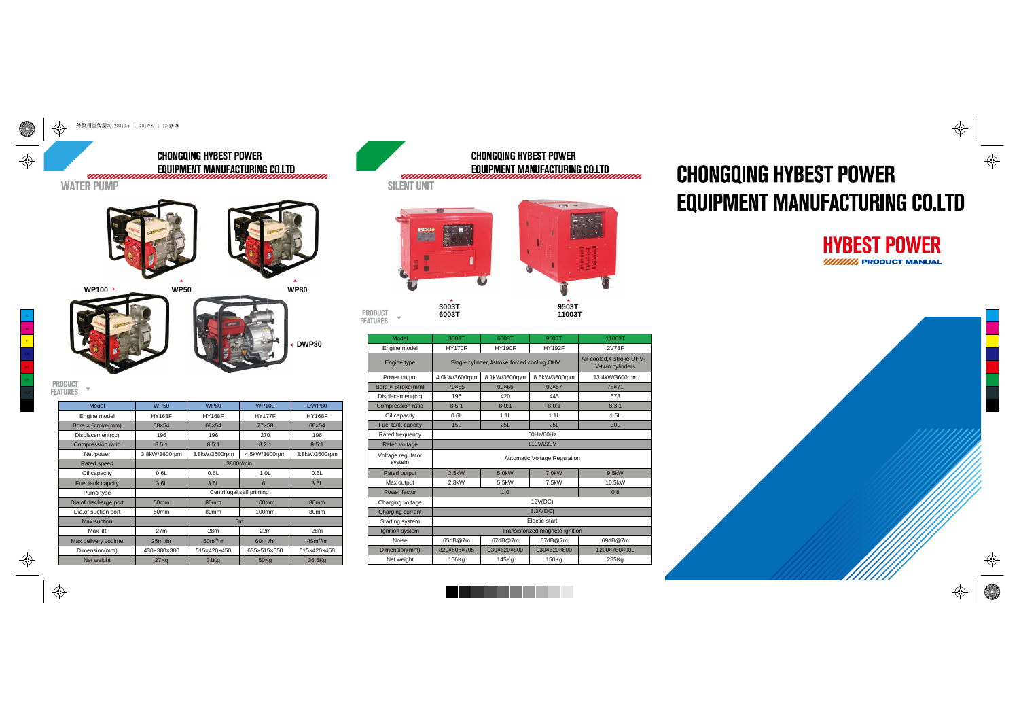

 $50<sub>mm</sub>$ 

50mm

 $27m$ 

 $25m^3/hr$ 

430×380×380

 $27K<sub>0</sub>$ 

80mm

80mm

 $28m$ 

 $60m^3/hr$ 

515×420×450

 $31Kq$ 

100mm

 $22m$ 

 $60m^3/hr$ 

635×515×550

 $50Kq$ 

80mm

80mm

 $28m$ 

 $45m^3/hr$ 

515×420×450

36.5Kg



| Model                       | 3003T                                           | 6003T                                          | 9503T       | 11003T       |  |  |  |
|-----------------------------|-------------------------------------------------|------------------------------------------------|-------------|--------------|--|--|--|
| Engine model                | <b>HY170F</b><br><b>HY190F</b><br><b>HY192F</b> |                                                |             | 2V78F        |  |  |  |
| Engine type                 | Single cylinder, 4stroke, forced cooling, OHV   | Air-cooled, 4-stroke, OHV,<br>V-twin cylinders |             |              |  |  |  |
| Power output                | 4.0kW/3600rpm                                   | 13.4kW/3600rpm                                 |             |              |  |  |  |
| Bore x Stroke(mm)           | 70×55                                           | $90 \times 66$                                 | 92×67       | 78×71        |  |  |  |
| Displacement(cc)            | 196                                             | 420                                            | 445         | 678          |  |  |  |
| Compression ratio           | 8.5:1                                           | 8.0:1                                          | 8.0:1       | 8.3:1        |  |  |  |
| Oil capacity                | 0.6L                                            | 1.1L                                           | 1.1L        | 1.5L         |  |  |  |
| Fuel tank capcity           | 15L                                             | 25L                                            | 25L         | 30L          |  |  |  |
| Rated frequency             | 50Hz/60Hz                                       |                                                |             |              |  |  |  |
| Rated voltage               | 110V/220V                                       |                                                |             |              |  |  |  |
| Voltage regulator<br>system | <b>Automatic Voltage Regulation</b>             |                                                |             |              |  |  |  |
| <b>Rated output</b>         | 2.5kW                                           | 5.0kW                                          | 7.0kW       | 9.5kW        |  |  |  |
| Max output                  | 2.8kW                                           | 5.5kW                                          | 7.5kW       | 10.5kW       |  |  |  |
| Power factor                |                                                 | 0.8                                            |             |              |  |  |  |
| Charging voltage            | 12V(DC)                                         |                                                |             |              |  |  |  |
| Charging current            | 8.3A(DC)                                        |                                                |             |              |  |  |  |
| Starting system             | Electic-start                                   |                                                |             |              |  |  |  |
| Ignition system             | Transistorized magneto ignition                 |                                                |             |              |  |  |  |
| Noise                       | 65dB@7m                                         | 67dB@7m                                        | 67dB@7m     | 69dB@7m      |  |  |  |
| Dimension(mm)               | 820×505×705                                     | 930×620×800                                    | 930×620×800 | 1200×760×900 |  |  |  |
| Net weight                  | 106Kg                                           | 145Kg                                          | 150Kg       | 285Kg        |  |  |  |

. . . .

a l

 $\bigoplus$ 

Dia.of discharge por Dia.of suction port

Max suction

Max lif

Max delivery voulme

Dimension(mm

◈

 $\spadesuit$ 

## **CHONGQING HYBEST POWER EQUIPMENT MANUFACTURING CO.LTD**